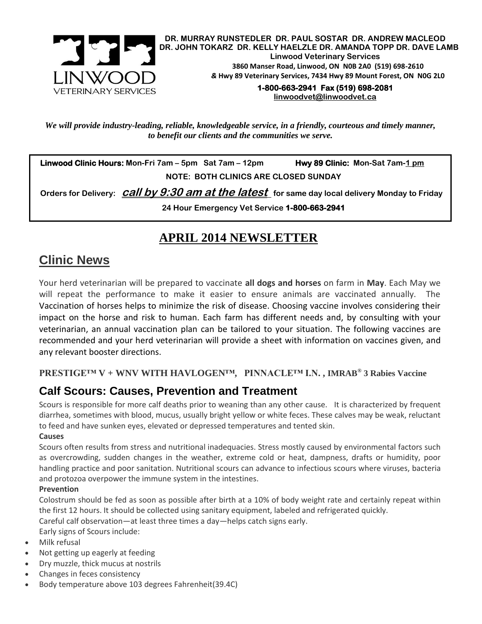

**DR. MURRAY RUNSTEDLER DR. PAUL SOSTAR DR. ANDREW MACLEOD DR. JOHN TOKARZ DR. KELLY HAELZLE DR. AMANDA TOPP DR. DAVE LAMB Linwood Veterinary Services 3860 Manser Road, Linwood, ON N0B 2A0 (519) 698-2610** *&* **Hwy 89 Veterinary Services, 7434 Hwy 89 Mount Forest, ON N0G 2L0**

**1-800-663-2941 Fax (519) 698-2081 [linwoodvet@linwoodvet.ca](mailto:linwoodvet@linwoodvet.ca)**

*We will provide industry-leading, reliable, knowledgeable service, in a friendly, courteous and timely manner, to benefit our clients and the communities we serve.*

 **Linwood Clinic Hours: Mon-Fri 7am – 5pm Sat 7am – 12pm Hwy 89 Clinic: Mon-Sat 7am-1 pm NOTE: BOTH CLINICS ARE CLOSED SUNDAY**

 **Orders for Delivery: call by 9:30 am at the latest for same day local delivery Monday to Friday** 

**24 Hour Emergency Vet Service 1-800-663-2941** 

### **APRIL 2014 NEWSLETTER**

## **Clinic News**

Your herd veterinarian will be prepared to vaccinate **all dogs and horses** on farm in **May**. Each May we will repeat the performance to make it easier to ensure animals are vaccinated annually. The Vaccination of horses helps to minimize the risk of disease. Choosing vaccine involves considering their impact on the horse and risk to human. Each farm has different needs and, by consulting with your veterinarian, an annual vaccination plan can be tailored to your situation. The following vaccines are recommended and your herd veterinarian will provide a sheet with information on vaccines given, and any relevant booster directions.

**PRESTIGE™ V + WNV WITH HAVLOGEN™, PINNACLE™ I.N. , IMRAB® 3 Rabies Vaccine**

### **Calf Scours: Causes, Prevention and Treatment**

Scours is responsible for more calf deaths prior to weaning than any other cause. It is characterized by frequent diarrhea, sometimes with blood, mucus, usually bright yellow or white feces. These calves may be weak, reluctant to feed and have sunken eyes, elevated or depressed temperatures and tented skin.

#### **Causes**

Scours often results from stress and nutritional inadequacies. Stress mostly caused by environmental factors such as overcrowding, sudden changes in the weather, extreme cold or heat, dampness, drafts or humidity, poor handling practice and poor sanitation. Nutritional scours can advance to infectious scours where viruses, bacteria and protozoa overpower the immune system in the intestines.

#### **Prevention**

Colostrum should be fed as soon as possible after birth at a 10% of body weight rate and certainly repeat within the first 12 hours. It should be collected using sanitary equipment, labeled and refrigerated quickly.

Careful calf observation—at least three times a day—helps catch signs early.

Early signs of Scours include:

- Milk refusal
- Not getting up eagerly at feeding
- Dry muzzle, thick mucus at nostrils
- Changes in feces consistency
- Body temperature above 103 degrees Fahrenheit(39.4C)